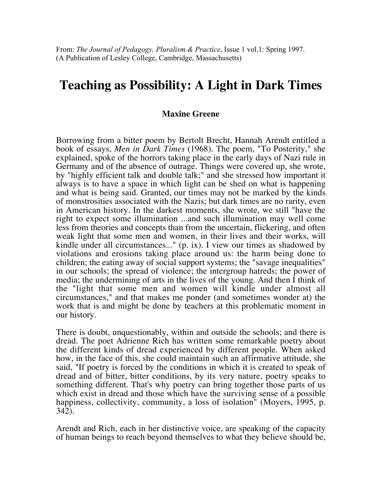## **Teaching as Possibility: A Light in Dark Times**

## **Maxine Greene**

Borrowing from a bitter poem by Bertolt Brecht, Hannah Arendt entitled a book of essays, *Men in Dark Times* (1968). The poem, "To Posterity," she explained, spoke of the horrors taking place in the early days of Nazi rule in Germany and of the absence of outrage. Things were covered up, she wrote, by "highly efficient talk and double talk;" and she stressed how important it always is to have a space in which light can be shed on what is happening and what is being said. Granted, our times may not be marked by the kinds of monstrosities associated with the Nazis; but dark times are no rarity, even in American history. In the darkest moments, she wrote, we still "have the right to expect some illumination ...and such illumination may well come less from theories and concepts than from the uncertain, flickering, and often weak light that some men and women, in their lives and their works, will kindle under all circumstances..." (p. ix). I view our times as shadowed by violations and erosions taking place around us: the harm being done to children; the eating away of social support systems; the "savage inequalities" in our schools; the spread of violence; the intergroup hatreds; the power of media; the undermining of arts in the lives of the young. And then I think of the "light that some men and women will kindle under almost all circumstances," and that makes me ponder (and sometimes wonder at) the work that is and might be done by teachers at this problematic moment in our history.

There is doubt, unquestionably, within and outside the schools; and there is dread. The poet Adrienne Rich has written some remarkable poetry about the different kinds of dread experienced by different people. When asked how, in the face of this, she could maintain such an affirmative attitude, she said, "If poetry is forced by the conditions in which it is created to speak of dread and of bitter, bitter conditions, by its very nature, poetry speaks to something different. That's why poetry can bring together those parts of us which exist in dread and those which have the surviving sense of a possible happiness, collectivity, community, a loss of isolation" (Moyers, 1995, p. 342).

Arendt and Rich, each in her distinctive voice, are speaking of the capacity of human beings to reach beyond themselves to what they believe should be,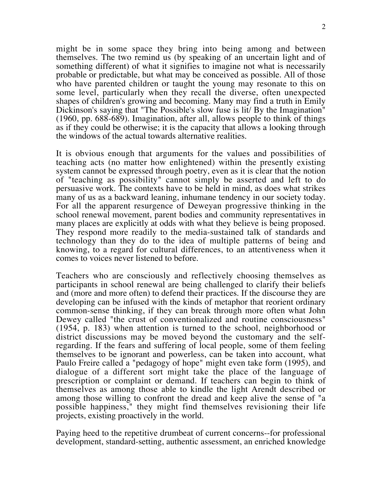might be in some space they bring into being among and between themselves. The two remind us (by speaking of an uncertain light and of something different) of what it signifies to imagine not what is necessarily probable or predictable, but what may be conceived as possible. All of those who have parented children or taught the young may resonate to this on some level, particularly when they recall the diverse, often unexpected shapes of children's growing and becoming. Many may find a truth in Emily Dickinson's saying that "The Possible's slow fuse is lit/ By the Imagination" (1960, pp. 688-689). Imagination, after all, allows people to think of things as if they could be otherwise; it is the capacity that allows a looking through the windows of the actual towards alternative realities.

It is obvious enough that arguments for the values and possibilities of teaching acts (no matter how enlightened) within the presently existing system cannot be expressed through poetry, even as it is clear that the notion of "teaching as possibility" cannot simply be asserted and left to do persuasive work. The contexts have to be held in mind, as does what strikes many of us as a backward leaning, inhumane tendency in our society today. For all the apparent resurgence of Deweyan progressive thinking in the school renewal movement, parent bodies and community representatives in many places are explicitly at odds with what they believe is being proposed. They respond more readily to the media-sustained talk of standards and technology than they do to the idea of multiple patterns of being and knowing, to a regard for cultural differences, to an attentiveness when it comes to voices never listened to before.

Teachers who are consciously and reflectively choosing themselves as participants in school renewal are being challenged to clarify their beliefs and (more and more often) to defend their practices. If the discourse they are developing can be infused with the kinds of metaphor that reorient ordinary common-sense thinking, if they can break through more often what John Dewey called "the crust of conventionalized and routine consciousness" (1954, p. 183) when attention is turned to the school, neighborhood or district discussions may be moved beyond the customary and the selfregarding. If the fears and suffering of local people, some of them feeling themselves to be ignorant and powerless, can be taken into account, what Paulo Freire called a "pedagogy of hope" might even take form (1995), and dialogue of a different sort might take the place of the language of prescription or complaint or demand. If teachers can begin to think of themselves as among those able to kindle the light Arendt described or among those willing to confront the dread and keep alive the sense of "a possible happiness," they might find themselves revisioning their life projects, existing proactively in the world.

Paying heed to the repetitive drumbeat of current concerns--for professional development, standard-setting, authentic assessment, an enriched knowledge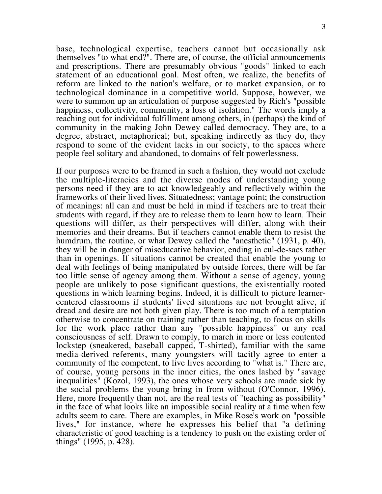base, technological expertise, teachers cannot but occasionally ask themselves "to what end?". There are, of course, the official announcements and prescriptions. There are presumably obvious "goods" linked to each statement of an educational goal. Most often, we realize, the benefits of reform are linked to the nation's welfare, or to market expansion, or to technological dominance in a competitive world. Suppose, however, we were to summon up an articulation of purpose suggested by Rich's "possible happiness, collectivity, community, a loss of isolation." The words imply a reaching out for individual fulfillment among others, in (perhaps) the kind of community in the making John Dewey called democracy. They are, to a degree, abstract, metaphorical; but, speaking indirectly as they do, they respond to some of the evident lacks in our society, to the spaces where people feel solitary and abandoned, to domains of felt powerlessness.

If our purposes were to be framed in such a fashion, they would not exclude the multiple-literacies and the diverse modes of understanding young persons need if they are to act knowledgeably and reflectively within the frameworks of their lived lives. Situatedness; vantage point; the construction of meanings: all can and must be held in mind if teachers are to treat their students with regard, if they are to release them to learn how to learn. Their questions will differ, as their perspectives will differ, along with their memories and their dreams. But if teachers cannot enable them to resist the humdrum, the routine, or what Dewey called the "anesthetic" (1931, p. 40), they will be in danger of miseducative behavior, ending in cul-de-sacs rather than in openings. If situations cannot be created that enable the young to deal with feelings of being manipulated by outside forces, there will be far too little sense of agency among them. Without a sense of agency, young people are unlikely to pose significant questions, the existentially rooted questions in which learning begins. Indeed, it is difficult to picture learnercentered classrooms if students' lived situations are not brought alive, if dread and desire are not both given play. There is too much of a temptation otherwise to concentrate on training rather than teaching, to focus on skills for the work place rather than any "possible happiness" or any real consciousness of self. Drawn to comply, to march in more or less contented lockstep (sneakered, baseball capped, T-shirted), familiar with the same media-derived referents, many youngsters will tacitly agree to enter a community of the competent, to live lives according to "what is." There are, of course, young persons in the inner cities, the ones lashed by "savage inequalities" (Kozol, 1993), the ones whose very schools are made sick by the social problems the young bring in from without (O'Connor, 1996). Here, more frequently than not, are the real tests of "teaching as possibility" in the face of what looks like an impossible social reality at a time when few adults seem to care. There are examples, in Mike Rose's work on "possible lives," for instance, where he expresses his belief that "a defining characteristic of good teaching is a tendency to push on the existing order of things" (1995, p. 428).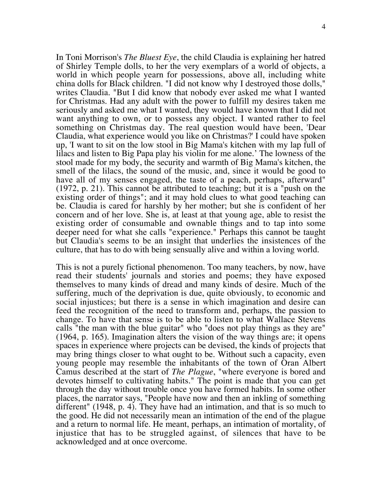In Toni Morrison's *The Bluest Eye*, the child Claudia is explaining her hatred of Shirley Temple dolls, to her the very exemplars of a world of objects, a world in which people yearn for possessions, above all, including white china dolls for Black children. "I did not know why I destroyed those dolls," writes Claudia. "But I did know that nobody ever asked me what I wanted for Christmas. Had any adult with the power to fulfill my desires taken me seriously and asked me what I wanted, they would have known that I did not want anything to own, or to possess any object. I wanted rather to feel something on Christmas day. The real question would have been, 'Dear Claudia, what experience would you like on Christmas?' I could have spoken up, 'I want to sit on the low stool in Big Mama's kitchen with my lap full of lilacs and listen to Big Papa play his violin for me alone.' The lowness of the stool made for my body, the security and warmth of Big Mama's kitchen, the smell of the lilacs, the sound of the music, and, since it would be good to have all of my senses engaged, the taste of a peach, perhaps, afterward" (1972, p. 21). This cannot be attributed to teaching; but it is a "push on the existing order of things"; and it may hold clues to what good teaching can be. Claudia is cared for harshly by her mother; but she is confident of her concern and of her love. She is, at least at that young age, able to resist the existing order of consumable and ownable things and to tap into some deeper need for what she calls "experience." Perhaps this cannot be taught but Claudia's seems to be an insight that underlies the insistences of the culture, that has to do with being sensually alive and within a loving world.

This is not a purely fictional phenomenon. Too many teachers, by now, have read their students' journals and stories and poems; they have exposed themselves to many kinds of dread and many kinds of desire. Much of the suffering, much of the deprivation is due, quite obviously, to economic and social injustices; but there is a sense in which imagination and desire can feed the recognition of the need to transform and, perhaps, the passion to change. To have that sense is to be able to listen to what Wallace Stevens calls "the man with the blue guitar" who "does not play things as they are" (1964, p. 165). Imagination alters the vision of the way things are; it opens spaces in experience where projects can be devised, the kinds of projects that may bring things closer to what ought to be. Without such a capacity, even young people may resemble the inhabitants of the town of Oran Albert Camus described at the start of *The Plague*, "where everyone is bored and devotes himself to cultivating habits." The point is made that you can get through the day without trouble once you have formed habits. In some other places, the narrator says, "People have now and then an inkling of something different" (1948, p. 4). They have had an intimation, and that is so much to the good. He did not necessarily mean an intimation of the end of the plague and a return to normal life. He meant, perhaps, an intimation of mortality, of injustice that has to be struggled against, of silences that have to be acknowledged and at once overcome.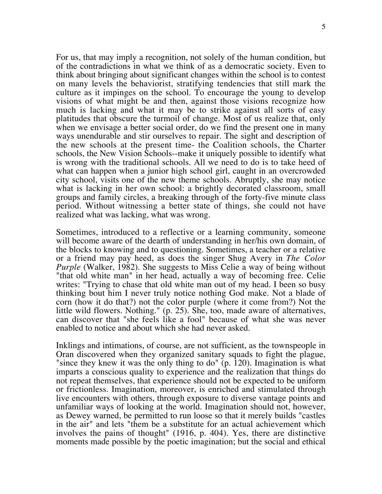For us, that may imply a recognition, not solely of the human condition, but of the contradictions in what we think of as a democratic society. Even to think about bringing about significant changes within the school is to contest on many levels the behaviorist, stratifying tendencies that still mark the culture as it impinges on the school. To encourage the young to develop visions of what might be and then, against those visions recognize how much is lacking and what it may be to strike against all sorts of easy platitudes that obscure the turmoil of change. Most of us realize that, only when we envisage a better social order, do we find the present one in many ways unendurable and stir ourselves to repair. The sight and description of the new schools at the present time- the Coalition schools, the Charter schools, the New Vision Schools--make it uniquely possible to identify what is wrong with the traditional schools. All we need to do is to take heed of what can happen when a junior high school girl, caught in an overcrowded city school, visits one of the new theme schools. Abruptly, she may notice what is lacking in her own school: a brightly decorated classroom, small groups and family circles, a breaking through of the forty-five minute class period. Without witnessing a better state of things, she could not have realized what was lacking, what was wrong.

Sometimes, introduced to a reflective or a learning community, someone will become aware of the dearth of understanding in her/his own domain, of the blocks to knowing and to questioning. Sometimes, a teacher or a relative or a friend may pay heed, as does the singer Shug Avery in *The Color Purple* (Walker, 1982). She suggests to Miss Celie a way of being without "that old white man" in her head, actually a way of becoming free. Celie writes: "Trying to chase that old white man out of my head. I been so busy thinking bout him I never truly notice nothing God make. Not a blade of corn (how it do that?) not the color purple (where it come from?) Not the little wild flowers. Nothing." (p. 25). She, too, made aware of alternatives, can discover that "she feels like a fool" because of what she was never enabled to notice and about which she had never asked.

Inklings and intimations, of course, are not sufficient, as the townspeople in Oran discovered when they organized sanitary squads to fight the plague, "since they knew it was the only thing to do" (p. 120). Imagination is what imparts a conscious quality to experience and the realization that things do not repeat themselves, that experience should not be expected to be uniform or frictionless. Imagination, moreover, is enriched and stimulated through live encounters with others, through exposure to diverse vantage points and unfamiliar ways of looking at the world. Imagination should not, however, as Dewey warned, be permitted to run loose so that it merely builds "castles in the air" and lets "them be a substitute for an actual achievement which involves the pains of thought" (1916, p. 404). Yes, there are distinctive moments made possible by the poetic imagination; but the social and ethical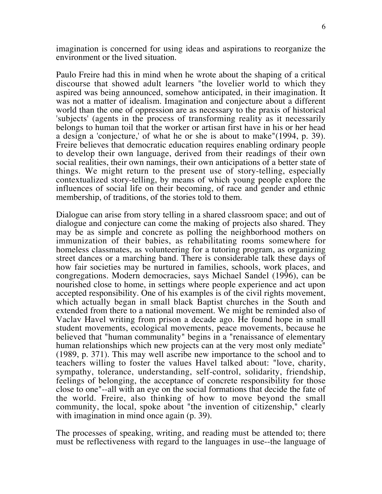imagination is concerned for using ideas and aspirations to reorganize the environment or the lived situation.

Paulo Freire had this in mind when he wrote about the shaping of a critical discourse that showed adult learners "the lovelier world to which they aspired was being announced, somehow anticipated, in their imagination. It was not a matter of idealism. Imagination and conjecture about a different world than the one of oppression are as necessary to the praxis of historical 'subjects' (agents in the process of transforming reality as it necessarily belongs to human toil that the worker or artisan first have in his or her head a design a 'conjecture,' of what he or she is about to make"(1994, p. 39). Freire believes that democratic education requires enabling ordinary people to develop their own language, derived from their readings of their own social realities, their own namings, their own anticipations of a better state of things. We might return to the present use of story-telling, especially contextualized story-telling, by means of which young people explore the influences of social life on their becoming, of race and gender and ethnic membership, of traditions, of the stories told to them.

Dialogue can arise from story telling in a shared classroom space; and out of dialogue and conjecture can come the making of projects also shared. They may be as simple and concrete as polling the neighborhood mothers on immunization of their babies, as rehabilitating rooms somewhere for homeless classmates, as volunteering for a tutoring program, as organizing street dances or a marching band. There is considerable talk these days of how fair societies may be nurtured in families, schools, work places, and congregations. Modern democracies, says Michael Sandel (1996), can be nourished close to home, in settings where people experience and act upon accepted responsibility. One of his examples is of the civil rights movement, which actually began in small black Baptist churches in the South and extended from there to a national movement. We might be reminded also of Vaclav Havel writing from prison a decade ago. He found hope in small student movements, ecological movements, peace movements, because he believed that "human communality" begins in a "renaissance of elementary human relationships which new projects can at the very most only mediate" (1989, p. 371). This may well ascribe new importance to the school and to teachers willing to foster the values Havel talked about: "love, charity, sympathy, tolerance, understanding, self-control, solidarity, friendship, feelings of belonging, the acceptance of concrete responsibility for those close to one"--all with an eye on the social formations that decide the fate of the world. Freire, also thinking of how to move beyond the small community, the local, spoke about "the invention of citizenship," clearly with imagination in mind once again (p. 39).

The processes of speaking, writing, and reading must be attended to; there must be reflectiveness with regard to the languages in use--the language of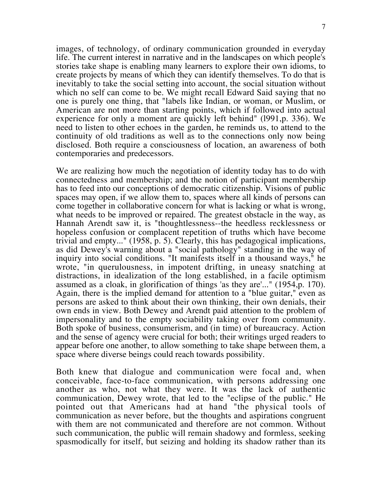images, of technology, of ordinary communication grounded in everyday life. The current interest in narrative and in the landscapes on which people's stories take shape is enabling many learners to explore their own idioms, to create projects by means of which they can identify themselves. To do that is inevitably to take the social setting into account, the social situation without which no self can come to be. We might recall Edward Said saying that no one is purely one thing, that "labels like Indian, or woman, or Muslim, or American are not more than starting points, which if followed into actual experience for only a moment are quickly left behind" (l991,p. 336). We need to listen to other echoes in the garden, he reminds us, to attend to the continuity of old traditions as well as to the connections only now being disclosed. Both require a consciousness of location, an awareness of both contemporaries and predecessors.

We are realizing how much the negotiation of identity today has to do with connectedness and membership; and the notion of participant membership has to feed into our conceptions of democratic citizenship. Visions of public spaces may open, if we allow them to, spaces where all kinds of persons can come together in collaborative concern for what is lacking or what is wrong, what needs to be improved or repaired. The greatest obstacle in the way, as Hannah Arendt saw it, is "thoughtlessness--the heedless recklessness or hopeless confusion or complacent repetition of truths which have become trivial and empty..." (1958, p. 5). Clearly, this has pedagogical implications, as did Dewey's warning about a "social pathology" standing in the way of inquiry into social conditions. "It manifests itself in a thousand ways," he wrote, "in querulousness, in impotent drifting, in uneasy snatching at distractions, in idealization of the long established, in a facile optimism assumed as a cloak, in glorification of things 'as they are'..." (1954,p. 170). Again, there is the implied demand for attention to a "blue guitar," even as persons are asked to think about their own thinking, their own denials, their own ends in view. Both Dewey and Arendt paid attention to the problem of impersonality and to the empty sociability taking over from community. Both spoke of business, consumerism, and (in time) of bureaucracy. Action and the sense of agency were crucial for both; their writings urged readers to appear before one another, to allow something to take shape between them, a space where diverse beings could reach towards possibility.

Both knew that dialogue and communication were focal and, when conceivable, face-to-face communication, with persons addressing one another as who, not what they were. It was the lack of authentic communication, Dewey wrote, that led to the "eclipse of the public." He pointed out that Americans had at hand "the physical tools of communication as never before, but the thoughts and aspirations congruent with them are not communicated and therefore are not common. Without such communication, the public will remain shadowy and formless, seeking spasmodically for itself, but seizing and holding its shadow rather than its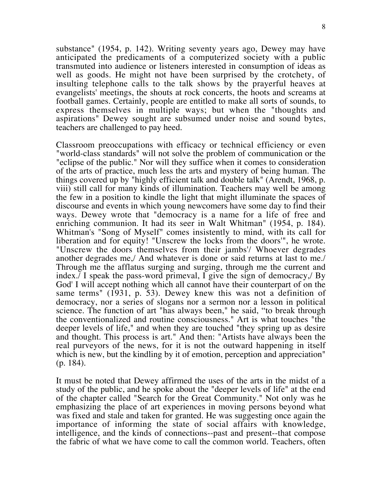substance" (1954, p. 142). Writing seventy years ago, Dewey may have anticipated the predicaments of a computerized society with a public transmuted into audience or listeners interested in consumption of ideas as well as goods. He might not have been surprised by the crotchety, of insulting telephone calls to the talk shows by the prayerful heaves at evangelists' meetings, the shouts at rock concerts, the hoots and screams at football games. Certainly, people are entitled to make all sorts of sounds, to express themselves in multiple ways; but when the "thoughts and aspirations" Dewey sought are subsumed under noise and sound bytes, teachers are challenged to pay heed.

Classroom preoccupations with efficacy or technical efficiency or even "world-class standards" will not solve the problem of communication or the "eclipse of the public." Nor will they suffice when it comes to consideration of the arts of practice, much less the arts and mystery of being human. The things covered up by "highly efficient talk and double talk" (Arendt, 1968, p. viii) still call for many kinds of illumination. Teachers may well be among the few in a position to kindle the light that might illuminate the spaces of discourse and events in which young newcomers have some day to find their ways. Dewey wrote that "democracy is a name for a life of free and enriching communion. It had its seer in Walt Whitman" (1954, p. 184). Whitman's "Song of Myself" comes insistently to mind, with its call for liberation and for equity! "Unscrew the locks from the doors'", he wrote. "Unscrew the doors themselves from their jambs'/ Whoever degrades another degrades me,/ And whatever is done or said returns at last to me./ Through me the afflatus surging and surging, through me the current and index./ I speak the pass-word primeval, I give the sign of democracy,/ By God' I will accept nothing which all cannot have their counterpart of on the same terms" (1931, p. 53). Dewey knew this was not a definition of democracy, nor a series of slogans nor a sermon nor a lesson in political science. The function of art "has always been," he said, "to break through the conventionalized and routine consciousness." Art is what touches "the deeper levels of life," and when they are touched "they spring up as desire and thought. This process is art." And then: "Artists have always been the real purveyors of the news, for it is not the outward happening in itself which is new, but the kindling by it of emotion, perception and appreciation" (p. 184).

It must be noted that Dewey affirmed the uses of the arts in the midst of a study of the public, and he spoke about the "deeper levels of life" at the end of the chapter called "Search for the Great Community." Not only was he emphasizing the place of art experiences in moving persons beyond what was fixed and stale and taken for granted. He was suggesting once again the importance of informing the state of social affairs with knowledge, intelligence, and the kinds of connections--past and present--that compose the fabric of what we have come to call the common world. Teachers, often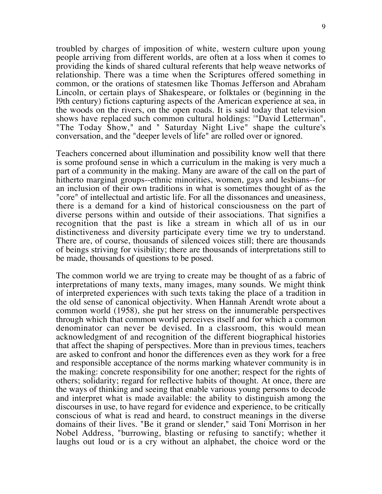troubled by charges of imposition of white, western culture upon young people arriving from different worlds, are often at a loss when it comes to providing the kinds of shared cultural referents that help weave networks of relationship. There was a time when the Scriptures offered something in common, or the orations of statesmen like Thomas Jefferson and Abraham Lincoln, or certain plays of Shakespeare, or folktales or (beginning in the l9th century) fictions capturing aspects of the American experience at sea, in the woods on the rivers, on the open roads. It is said today that television shows have replaced such common cultural holdings: '"David Letterman", "The Today Show," and " Saturday Night Live" shape the culture's conversation, and the "deeper levels of life" are rolled over or ignored.

Teachers concerned about illumination and possibility know well that there is some profound sense in which a curriculum in the making is very much a part of a community in the making. Many are aware of the call on the part of hitherto marginal groups--ethnic minorities, women, gays and lesbians--for an inclusion of their own traditions in what is sometimes thought of as the "core" of intellectual and artistic life. For all the dissonances and uneasiness, there is a demand for a kind of historical consciousness on the part of diverse persons within and outside of their associations. That signifies a recognition that the past is like a stream in which all of us in our distinctiveness and diversity participate every time we try to understand. There are, of course, thousands of silenced voices still; there are thousands of beings striving for visibility; there are thousands of interpretations still to be made, thousands of questions to be posed.

The common world we are trying to create may be thought of as a fabric of interpretations of many texts, many images, many sounds. We might think of interpreted experiences with such texts taking the place of a tradition in the old sense of canonical objectivity. When Hannah Arendt wrote about a common world (1958), she put her stress on the innumerable perspectives through which that common world perceives itself and for which a common denominator can never be devised. In a classroom, this would mean acknowledgment of and recognition of the different biographical histories that affect the shaping of perspectives. More than in previous times, teachers are asked to confront and honor the differences even as they work for a free and responsible acceptance of the norms marking whatever community is in the making: concrete responsibility for one another; respect for the rights of others; solidarity; regard for reflective habits of thought. At once, there are the ways of thinking and seeing that enable various young persons to decode and interpret what is made available: the ability to distinguish among the discourses in use, to have regard for evidence and experience, to be critically conscious of what is read and heard, to construct meanings in the diverse domains of their lives. "Be it grand or slender," said Toni Morrison in her Nobel Address, "burrowing, blasting or refusing to sanctify; whether it laughs out loud or is a cry without an alphabet, the choice word or the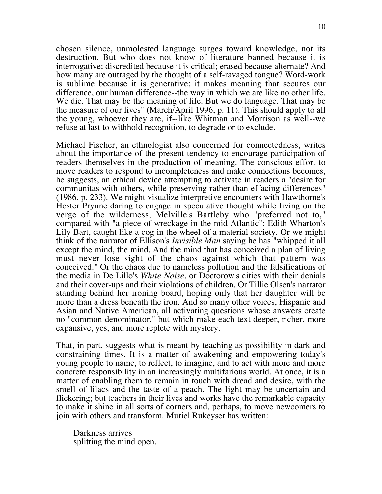chosen silence, unmolested language surges toward knowledge, not its destruction. But who does not know of literature banned because it is interrogative; discredited because it is critical; erased because alternate? And how many are outraged by the thought of a self-ravaged tongue? Word-work is sublime because it is generative; it makes meaning that secures our difference, our human difference--the way in which we are like no other life. We die. That may be the meaning of life. But we do language. That may be the measure of our lives" (March/April 1996, p. 11). This should apply to all the young, whoever they are, if--like Whitman and Morrison as well--we refuse at last to withhold recognition, to degrade or to exclude.

Michael Fischer, an ethnologist also concerned for connectedness, writes about the importance of the present tendency to encourage participation of readers themselves in the production of meaning. The conscious effort to move readers to respond to incompleteness and make connections becomes, he suggests, an ethical device attempting to activate in readers a "desire for communitas with others, while preserving rather than effacing differences" (1986, p. 233). We might visualize interpretive encounters with Hawthorne's Hester Prynne daring to engage in speculative thought while living on the verge of the wilderness; Melville's Bartleby who "preferred not to," compared with "a piece of wreckage in the mid Atlantic": Edith Wharton's Lily Bart, caught like a cog in the wheel of a material society. Or we might think of the narrator of Ellison's *Invisible Man* saying he has "whipped it all except the mind, the mind. And the mind that has conceived a plan of living must never lose sight of the chaos against which that pattern was conceived." Or the chaos due to nameless pollution and the falsifications of the media in De Lillo's *White Noise*, or Doctorow's cities with their denials and their cover-ups and their violations of children. Or Tillie Olsen's narrator standing behind her ironing board, hoping only that her daughter will be more than a dress beneath the iron. And so many other voices, Hispanic and Asian and Native American, all activating questions whose answers create no "common denominator," but which make each text deeper, richer, more expansive, yes, and more replete with mystery.

That, in part, suggests what is meant by teaching as possibility in dark and constraining times. It is a matter of awakening and empowering today's young people to name, to reflect, to imagine, and to act with more and more concrete responsibility in an increasingly multifarious world. At once, it is a matter of enabling them to remain in touch with dread and desire, with the smell of lilacs and the taste of a peach. The light may be uncertain and flickering; but teachers in their lives and works have the remarkable capacity to make it shine in all sorts of corners and, perhaps, to move newcomers to join with others and transform. Muriel Rukeyser has written:

Darkness arrives splitting the mind open.